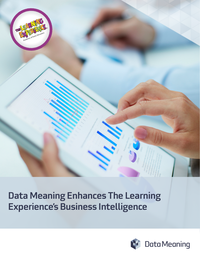

Data Meaning Enhances The Learning Experience's Business Intelligence

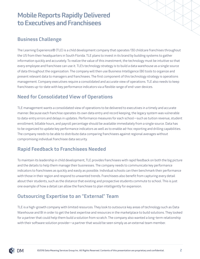# Mobile Reports Rapidly Delivered to Executives and Franchisees

#### Business Challenge

The Learning Experience® (TLE) is a child development company that operates 130 childcare franchises throughout the US from their headquarters in South Florida. TLE plans to invest in its brand by building systems to gather information quickly and accurately. To realize the value of this investment, the technology must be intuitive so that every employee and franchisee can use it. TLE's technology strategy is to build a data warehouse as a single source of data throughout the organization. The company will then use Business Intelligence (BI) tools to organize and present relevant data to managers and franchisees. The first component of this technology strategy is operations management. Company executives require a consolidated and accurate view of operations. TLE also needs to keep franchisees up-to-date with key performance indicators via a flexible range of end-user devices.

## Need for Consolidated View of Operations

TLE management wants a consolidated view of operations to be delivered to executives in a timely and accurate manner. Because each franchise operates its own data entry and record keeping, the legacy system was vulnerable to data-entry errors and delays in updates. Performance measures for each school—such as tuition revenue, student enrollment, billable hours, and payroll percentage should be available immediately from a single source. Data has to be organized to update key performance indicators as well as to enable ad-hoc reporting and drilling capabilities. The company needs to be able to distribute data comparing franchisees against regional averages without compromising individual franchisee data security.

### Rapid Feedback to Franchisees Needed

To maintain its leadership in child development, TLE provides franchisees with rapid feedback on both the big picture and the details to help them manage their businesses. The company needs to communicate key performance indicators to franchisees as quickly and easily as possible. Individual schools can then benchmark their performance with those in their region and respond to unwanted trends. Franchisees also benefit from capturing every detail about their students, such as the distance that existing and prospective students commute to school. This is just one example of how a detail can allow the franchisee to plan intelligently for expansion.

#### Outsourcing Expertise to an "External" Team

TLE is a high-growth company with limited resources. They look to outsource key areas of technology such as Data Warehouse and BI in order to get the best expertise and resources in the marketplace to build solutions. They looked for a partner that could help them build a solution from scratch. The company also wanted a long-term relationship with their software solution provider—a partner that would be seen simply as an external team member.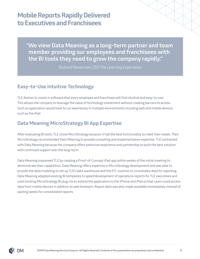## Mobile Reports Rapidly Delivered to Executives and Franchisees

"We view Data Meaning as a long-term partner and team member providing our employees and franchisees with the BI tools they need to grow the company rapidly."

Richard Weissman, CEO The Learning Experience

### Easy-to-Use Intuitive Technology

TLE desires to invest in software that every employee and franchisee will find intuitive and easy-to-use. This allows the company to leverage the value of technology investment without creating barriers to access. Such an application would have to run seamlessly in multiple environments including web and mobile devices such as the iPad.

#### Data Meaning MicroStrategy BI App Expertise

After evaluating BI tools, TLE chose MicroStrategy because it had the best functionality to meet their needs. Then MicroStrategy recommended Data Meaning to provide consulting and implementation expertise. TLE contracted with Data Meaning because the company offers extensive experience and partnership to build the best solution with continued support over the long-term.

Data Meaning impressed TLE by creating a Proof-of-Concept iPad app within weeks of the initial meeting to demonstrate their capabilities. Data Meaning offers expertise in MicroStrategy development and was able to provide the data modeling to set up TLE's data warehouse and the ETL routines to consolidate data for reporting. Data Meaning adapted existing BI templates to speed development of operations reports for TLE executives and used existing MicroStrategy BI plug-ins to extend the application to the iPhone and iPad so that users could access data from mobile devices in addition to web browsers. Report data was also made available immediately instead of waiting weeks for consolidated reports.